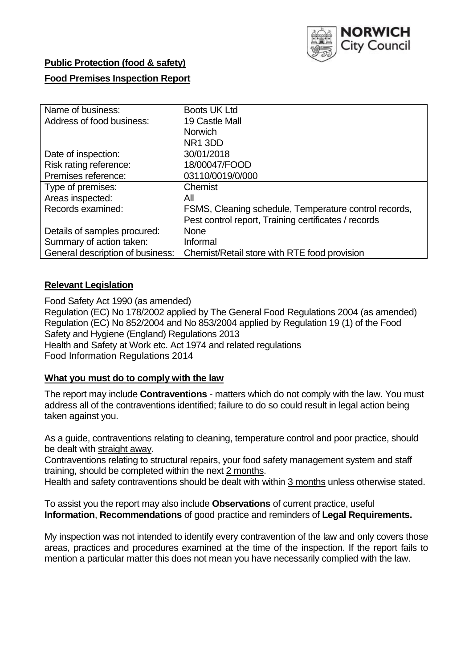

## **Public Protection (food & safety)**

## **Food Premises Inspection Report**

| Name of business:                | Boots UK Ltd                                          |
|----------------------------------|-------------------------------------------------------|
| Address of food business:        | 19 Castle Mall                                        |
|                                  | <b>Norwich</b>                                        |
|                                  | NR <sub>1</sub> 3DD                                   |
| Date of inspection:              | 30/01/2018                                            |
| Risk rating reference:           | 18/00047/FOOD                                         |
| Premises reference:              | 03110/0019/0/000                                      |
| Type of premises:                | Chemist                                               |
| Areas inspected:                 | All                                                   |
| Records examined:                | FSMS, Cleaning schedule, Temperature control records, |
|                                  | Pest control report, Training certificates / records  |
| Details of samples procured:     | <b>None</b>                                           |
| Summary of action taken:         | Informal                                              |
| General description of business: | Chemist/Retail store with RTE food provision          |

### **Relevant Legislation**

Food Safety Act 1990 (as amended) Regulation (EC) No 178/2002 applied by The General Food Regulations 2004 (as amended) Regulation (EC) No 852/2004 and No 853/2004 applied by Regulation 19 (1) of the Food Safety and Hygiene (England) Regulations 2013 Health and Safety at Work etc. Act 1974 and related regulations Food Information Regulations 2014

### **What you must do to comply with the law**

The report may include **Contraventions** - matters which do not comply with the law. You must address all of the contraventions identified; failure to do so could result in legal action being taken against you.

As a guide, contraventions relating to cleaning, temperature control and poor practice, should be dealt with straight away.

Contraventions relating to structural repairs, your food safety management system and staff training, should be completed within the next 2 months.

Health and safety contraventions should be dealt with within 3 months unless otherwise stated.

To assist you the report may also include **Observations** of current practice, useful **Information**, **Recommendations** of good practice and reminders of **Legal Requirements.**

My inspection was not intended to identify every contravention of the law and only covers those areas, practices and procedures examined at the time of the inspection. If the report fails to mention a particular matter this does not mean you have necessarily complied with the law.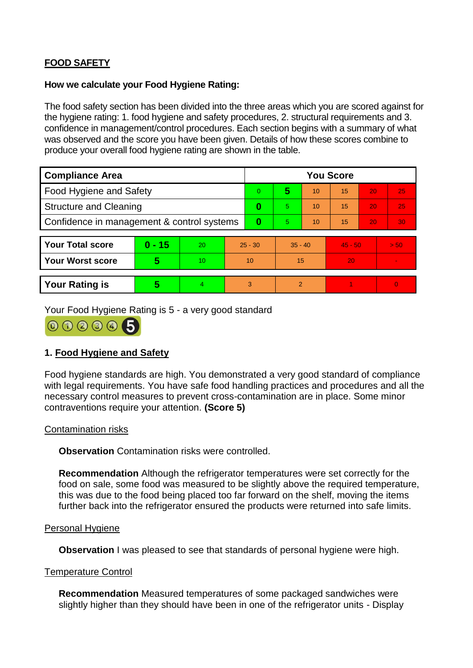# **FOOD SAFETY**

#### **How we calculate your Food Hygiene Rating:**

The food safety section has been divided into the three areas which you are scored against for the hygiene rating: 1. food hygiene and safety procedures, 2. structural requirements and 3. confidence in management/control procedures. Each section begins with a summary of what was observed and the score you have been given. Details of how these scores combine to produce your overall food hygiene rating are shown in the table.

| <b>Compliance Area</b>                     |          |    |           | <b>You Score</b> |                |    |           |    |                |  |  |
|--------------------------------------------|----------|----|-----------|------------------|----------------|----|-----------|----|----------------|--|--|
| Food Hygiene and Safety                    |          |    | 0         | 5                | 10             | 15 | 20        | 25 |                |  |  |
| <b>Structure and Cleaning</b>              |          |    | 0         | 5.               | 10             | 15 | 20        | 25 |                |  |  |
| Confidence in management & control systems |          |    | 0         | 5                | 10             | 15 | 20        | 30 |                |  |  |
|                                            |          |    |           |                  |                |    |           |    |                |  |  |
| <b>Your Total score</b>                    | $0 - 15$ | 20 | $25 - 30$ |                  | $35 - 40$      |    | $45 - 50$ |    | > 50           |  |  |
| Your Worst score                           | 5        | 10 | 10        |                  | 15             |    | 20        |    | $\blacksquare$ |  |  |
|                                            |          |    |           |                  |                |    |           |    |                |  |  |
| <b>Your Rating is</b>                      | 5        | 4. | 3         |                  | $\overline{2}$ |    |           |    | $\overline{0}$ |  |  |

Your Food Hygiene Rating is 5 - a very good standard



# **1. Food Hygiene and Safety**

Food hygiene standards are high. You demonstrated a very good standard of compliance with legal requirements. You have safe food handling practices and procedures and all the necessary control measures to prevent cross-contamination are in place. Some minor contraventions require your attention. **(Score 5)**

### Contamination risks

**Observation** Contamination risks were controlled.

**Recommendation** Although the refrigerator temperatures were set correctly for the food on sale, some food was measured to be slightly above the required temperature, this was due to the food being placed too far forward on the shelf, moving the items further back into the refrigerator ensured the products were returned into safe limits.

#### Personal Hygiene

**Observation** I was pleased to see that standards of personal hygiene were high.

#### Temperature Control

**Recommendation** Measured temperatures of some packaged sandwiches were slightly higher than they should have been in one of the refrigerator units - Display